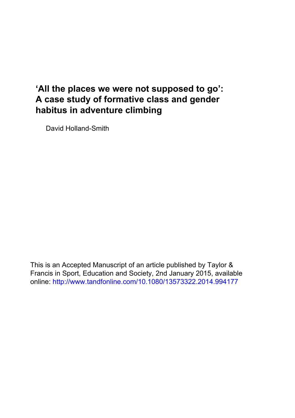# **'All the places we were not supposed to go': A case study of formative class and gender habitus in adventure climbing**

David Holland-Smith

This is an Accepted Manuscript of an article published by Taylor & Francis in Sport, Education and Society, 2nd January 2015, available online: http://www.tandfonline.com/10.1080/13573322.2014.994177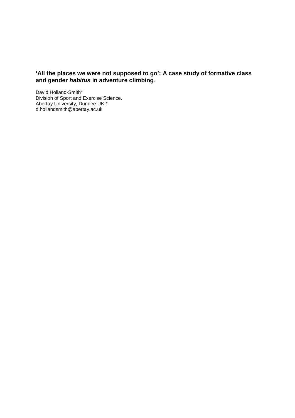# **'All the places we were not supposed to go': A case study of formative class and gender habitus in adventure climbing**.

David Holland-Smith\* Division of Sport and Exercise Science. Abertay University, Dundee.UK.\* d.hollandsmith@abertay.ac.uk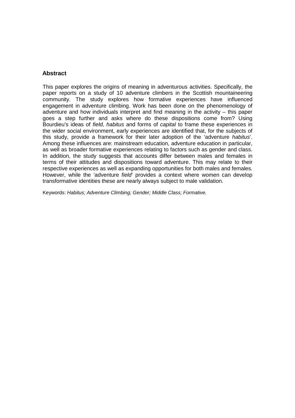# **Abstract**

This paper explores the origins of meaning in adventurous activities. Specifically, the paper reports on a study of 10 adventure climbers in the Scottish mountaineering community. The study explores how formative experiences have influenced engagement in adventure climbing. Work has been done on the phenomenology of adventure and how individuals interpret and find meaning in the activity – this paper goes a step further and asks where do these dispositions come from? Using Bourdieu's ideas of field, habitus and forms of capital to frame these experiences in the wider social environment, early experiences are identified that, for the subjects of this study, provide a framework for their later adoption of the 'adventure habitus'. Among these influences are: mainstream education, adventure education in particular, as well as broader formative experiences relating to factors such as gender and class. In addition, the study suggests that accounts differ between males and females in terms of their attitudes and dispositions toward adventure. This may relate to their respective experiences as well as expanding opportunities for both males and females. However, while the 'adventure *field*' provides a context where women can develop transformative identities these are nearly always subject to male validation.

Keywords: Habitus; Adventure Climbing; Gender; Middle Class; Formative.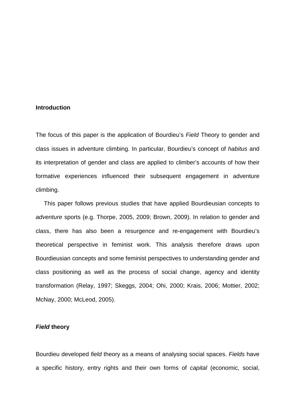## **Introduction**

The focus of this paper is the application of Bourdieu's Field Theory to gender and class issues in adventure climbing. In particular, Bourdieu's concept of habitus and its interpretation of gender and class are applied to climber's accounts of how their formative experiences influenced their subsequent engagement in adventure climbing.

 This paper follows previous studies that have applied Bourdieusian concepts to adventure sports (e.g. Thorpe, 2005, 2009; Brown, 2009). In relation to gender and class, there has also been a resurgence and re-engagement with Bourdieu's theoretical perspective in feminist work. This analysis therefore draws upon Bourdieusian concepts and some feminist perspectives to understanding gender and class positioning as well as the process of social change, agency and identity transformation (Relay, 1997; Skeggs, 2004; Ohi, 2000; Krais, 2006; Mottier, 2002; McNay, 2000; McLeod, 2005).

# **Field theory**

Bourdieu developed field theory as a means of analysing social spaces. Fields have a specific history, entry rights and their own forms of capital (economic, social,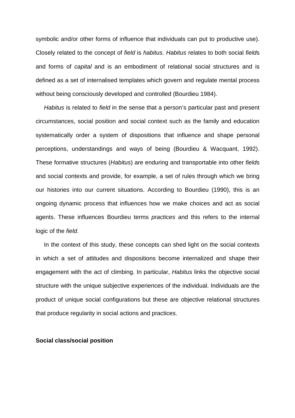symbolic and/or other forms of influence that individuals can put to productive use). Closely related to the concept of field is habitus. Habitus relates to both social fields and forms of capital and is an embodiment of relational social structures and is defined as a set of internalised templates which govern and regulate mental process without being consciously developed and controlled (Bourdieu 1984).

Habitus is related to field in the sense that a person's particular past and present circumstances, social position and social context such as the family and education systematically order a system of dispositions that influence and shape personal perceptions, understandings and ways of being (Bourdieu & Wacquant, 1992). These formative structures (Habitus) are enduring and transportable into other fields and social contexts and provide, for example, a set of rules through which we bring our histories into our current situations. According to Bourdieu (1990), this is an ongoing dynamic process that influences how we make choices and act as social agents. These influences Bourdieu terms practices and this refers to the internal logic of the field.

 In the context of this study, these concepts can shed light on the social contexts in which a set of attitudes and dispositions become internalized and shape their engagement with the act of climbing. In particular, Habitus links the objective social structure with the unique subjective experiences of the individual. Individuals are the product of unique social configurations but these are objective relational structures that produce regularity in social actions and practices.

# **Social class/social position**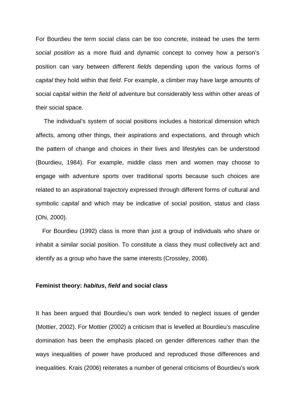For Bourdieu the term social class can be too concrete, instead he uses the term social position as a more fluid and dynamic concept to convey how a person's position can vary between different fields depending upon the various forms of capital they hold within that field. For example, a climber may have large amounts of social capital within the field of adventure but considerably less within other areas of their social space.

 The individual's system of social positions includes a historical dimension which affects, among other things, their aspirations and expectations, and through which the pattern of change and choices in their lives and lifestyles can be understood (Bourdieu, 1984). For example, middle class men and women may choose to engage with adventure sports over traditional sports because such choices are related to an aspirational trajectory expressed through different forms of cultural and symbolic *capital* and which may be indicative of social position, status and class (Ohi, 2000).

 For Bourdieu (1992) class is more than just a group of individuals who share or inhabit a similar social position. To constitute a class they must collectively act and identify as a group who have the same interests (Crossley, 2008).

## **Feminist theory: habitus, field and social class**

It has been argued that Bourdieu's own work tended to neglect issues of gender (Mottier, 2002). For Mottier (2002) a criticism that is levelled at Bourdieu's masculine domination has been the emphasis placed on gender differences rather than the ways inequalities of power have produced and reproduced those differences and inequalities. Krais (2006) reiterates a number of general criticisms of Bourdieu's work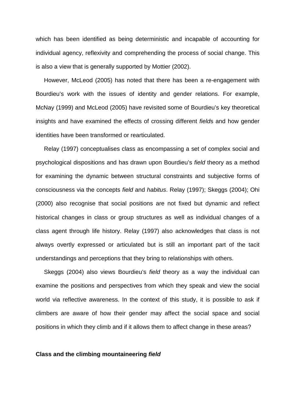which has been identified as being deterministic and incapable of accounting for individual agency, reflexivity and comprehending the process of social change. This is also a view that is generally supported by Mottier (2002).

 However, McLeod (2005) has noted that there has been a re-engagement with Bourdieu's work with the issues of identity and gender relations. For example, McNay (1999) and McLeod (2005) have revisited some of Bourdieu's key theoretical insights and have examined the effects of crossing different fields and how gender identities have been transformed or rearticulated.

 Relay (1997) conceptualises class as encompassing a set of complex social and psychological dispositions and has drawn upon Bourdieu's field theory as a method for examining the dynamic between structural constraints and subjective forms of consciousness via the concepts field and habitus. Relay (1997); Skeggs (2004); Ohi (2000) also recognise that social positions are not fixed but dynamic and reflect historical changes in class or group structures as well as individual changes of a class agent through life history. Relay (1997) also acknowledges that class is not always overtly expressed or articulated but is still an important part of the tacit understandings and perceptions that they bring to relationships with others.

 Skeggs (2004) also views Bourdieu's field theory as a way the individual can examine the positions and perspectives from which they speak and view the social world via reflective awareness. In the context of this study, it is possible to ask if climbers are aware of how their gender may affect the social space and social positions in which they climb and if it allows them to affect change in these areas?

### **Class and the climbing mountaineering field**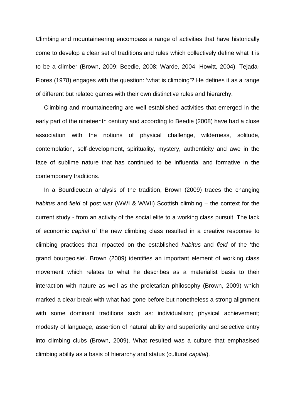Climbing and mountaineering encompass a range of activities that have historically come to develop a clear set of traditions and rules which collectively define what it is to be a climber (Brown, 2009; Beedie, 2008; Warde, 2004; Howitt, 2004). Tejada-Flores (1978) engages with the question: 'what is climbing'? He defines it as a range of different but related games with their own distinctive rules and hierarchy.

 Climbing and mountaineering are well established activities that emerged in the early part of the nineteenth century and according to Beedie (2008) have had a close association with the notions of physical challenge, wilderness, solitude, contemplation, self-development, spirituality, mystery, authenticity and awe in the face of sublime nature that has continued to be influential and formative in the contemporary traditions.

 In a Bourdieuean analysis of the tradition, Brown (2009) traces the changing habitus and field of post war (WWI & WWII) Scottish climbing – the context for the current study - from an activity of the social elite to a working class pursuit. The lack of economic capital of the new climbing class resulted in a creative response to climbing practices that impacted on the established habitus and field of the 'the grand bourgeoisie'. Brown (2009) identifies an important element of working class movement which relates to what he describes as a materialist basis to their interaction with nature as well as the proletarian philosophy (Brown, 2009) which marked a clear break with what had gone before but nonetheless a strong alignment with some dominant traditions such as: individualism; physical achievement; modesty of language, assertion of natural ability and superiority and selective entry into climbing clubs (Brown, 2009). What resulted was a culture that emphasised climbing ability as a basis of hierarchy and status (cultural capital).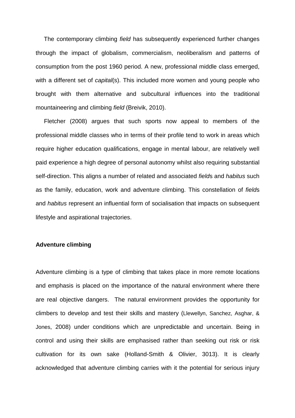The contemporary climbing *field* has subsequently experienced further changes through the impact of globalism, commercialism, neoliberalism and patterns of consumption from the post 1960 period. A new, professional middle class emerged, with a different set of *capital(s)*. This included more women and young people who brought with them alternative and subcultural influences into the traditional mountaineering and climbing field (Breivik, 2010).

 Fletcher (2008) argues that such sports now appeal to members of the professional middle classes who in terms of their profile tend to work in areas which require higher education qualifications, engage in mental labour, are relatively well paid experience a high degree of personal autonomy whilst also requiring substantial self-direction. This aligns a number of related and associated fields and habitus such as the family, education, work and adventure climbing. This constellation of fields and habitus represent an influential form of socialisation that impacts on subsequent lifestyle and aspirational trajectories.

# **Adventure climbing**

Adventure climbing is a type of climbing that takes place in more remote locations and emphasis is placed on the importance of the natural environment where there are real objective dangers. The natural environment provides the opportunity for climbers to develop and test their skills and mastery (Llewellyn, Sanchez, Asghar, & Jones, 2008) under conditions which are unpredictable and uncertain. Being in control and using their skills are emphasised rather than seeking out risk or risk cultivation for its own sake (Holland-Smith & Olivier, 3013). It is clearly acknowledged that adventure climbing carries with it the potential for serious injury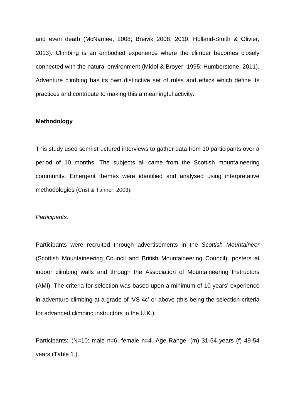and even death (McNamee, 2008; Breivik 2008, 2010; Holland-Smith & Olivier, 2013). Climbing is an embodied experience where the climber becomes closely connected with the natural environment (Midol & Broyer, 1995; Humberstone, 2011). Adventure climbing has its own distinctive set of rules and ethics which define its practices and contribute to making this a meaningful activity.

## **Methodology**

This study used semi-structured interviews to gather data from 10 participants over a period of 10 months. The subjects all came from the Scottish mountaineering community. Emergent themes were identified and analysed using interpretative methodologies (Crist & Tanner, 2003).

#### Participants.

Participants were recruited through advertisements in the Scottish Mountaineer (Scottish Mountaineering Council and British Mountaineering Council), posters at indoor climbing walls and through the Association of Mountaineering Instructors (AMI). The criteria for selection was based upon a minimum of 10 years' experience in adventure climbing at a grade of 'VS 4c' or above (this being the selection criteria for advanced climbing instructors in the U.K.).

Participants: (N=10: male n=6; female n=4. Age Range: (m) 31-54 years (f) 49-54 years (Table 1 ).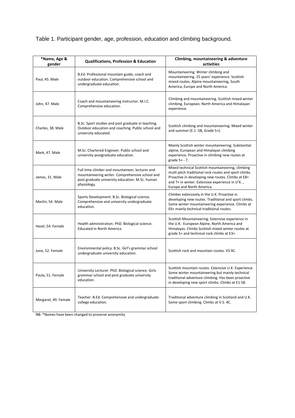Table 1. Participant gender, age, profession, education and climbing background.

| *Name, Age &<br>gender | <b>Qualifications, Profession &amp; Education</b>                                                                                                                    | Climbing, mountaineering & adventure<br>activities                                                                                                                                                                                              |
|------------------------|----------------------------------------------------------------------------------------------------------------------------------------------------------------------|-------------------------------------------------------------------------------------------------------------------------------------------------------------------------------------------------------------------------------------------------|
| Paul, 45. Male         | B.Ed. Professional mountain guide, coach and<br>outdoor education. Comprehensive school and<br>undergraduate education.                                              | Mountaineering. Winter climbing and<br>mountaineering. 25 years' experience. Scottish<br>mixed routes, Alpine mountaineering, South<br>America, Europe and North America.                                                                       |
| John, 47. Male         | Coach and mountaineering instructor. M.I.C.<br>Comprehensive education.                                                                                              | Climbing and mountaineering. Scottish mixed winter<br>climbing. European, North America and Himalayan<br>experience.                                                                                                                            |
| Charles, 38. Male      | B.Sc. Sport studies and post graduate in teaching.<br>Outdoor education and coaching. Public school and<br>university educated.                                      | Scottish climbing and mountaineering. Mixed winter<br>and summer (E.1 -5B, Grade 5+).                                                                                                                                                           |
| Mark, 47. Male         | M.Sc. Chartered Engineer. Public school and<br>university postgraduate education.                                                                                    | Mainly Scottish winter mountaineering. Substantial<br>alpine, European and Himalayan climbing<br>experience. Proactive in climbing new routes at<br>grade 5+ - 7.                                                                               |
| James, 31. Male        | Full time climber and mountaineer, lecturer and<br>mountaineering writer. Comprehensive school and<br>post graduate university education. M.Sc. human<br>physiology. | Mixed technical Scottish mountaineering, climbing<br>multi pitch traditional rock routes and sport climbs.<br>Proactive in developing new routes. Climbs at E8+<br>and 7+ in winter. Extensive experience in U'K.,<br>Europe and North America. |
| Martin, 54. Male       | Sports Development. B.Sc. Biological science.<br>Comprehensive and university undergraduate<br>education.                                                            | Climber extensively in the U.K. Proactive in<br>developing new routes. Traditional and sport climbs.<br>Some winter mountaineering experience. Climbs at<br>E6+ mainly technical traditional routes.                                            |
| Hazel, 54. Female      | Health administration. PhD. Biological science.<br>Educated in North America.                                                                                        | Scottish Mountaineering. Extensive experience in<br>the U.K. European Alpine, North America and<br>Himalayas. Climbs Scottish mixed winter routes at<br>grade 5+ and technical rock climbs at E3+.                                              |
| June, 52. Female       | Environmental policy. B.Sc. Girl's grammar school<br>undergraduate university education.                                                                             | Scottish rock and mountain routes. VS 4C.                                                                                                                                                                                                       |
| Paula, 51. Female      | University Lecturer. PhD. Biological science. Girls<br>grammar school and post graduate university<br>education.                                                     | Scottish mountain routes. Extensive U.K. Experience.<br>Some winter mountaineering but mainly technical<br>traditional adventure climbing. Has been proactive<br>in developing new sport climbs. Climbs at E1 5B.                               |
| Margaret, 49. Female   | Teacher. B.Ed. Comprehensive and undergraduate<br>college education.                                                                                                 | Traditional adventure climbing in Scotland and U.K.<br>Some sport climbing. Climbs at V.S. 4C.                                                                                                                                                  |

NB: \*Names have been changed to preserve anonymity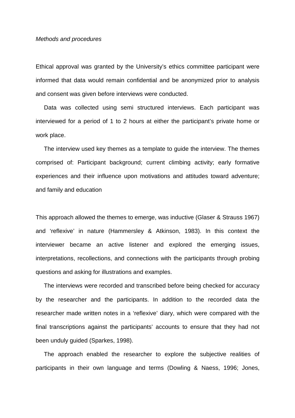#### Methods and procedures

Ethical approval was granted by the University's ethics committee participant were informed that data would remain confidential and be anonymized prior to analysis and consent was given before interviews were conducted.

 Data was collected using semi structured interviews. Each participant was interviewed for a period of 1 to 2 hours at either the participant's private home or work place.

 The interview used key themes as a template to guide the interview. The themes comprised of: Participant background; current climbing activity; early formative experiences and their influence upon motivations and attitudes toward adventure; and family and education

This approach allowed the themes to emerge, was inductive (Glaser & Strauss 1967) and 'reflexive' in nature (Hammersley & Atkinson, 1983). In this context the interviewer became an active listener and explored the emerging issues, interpretations, recollections, and connections with the participants through probing questions and asking for illustrations and examples.

 The interviews were recorded and transcribed before being checked for accuracy by the researcher and the participants. In addition to the recorded data the researcher made written notes in a 'reflexive' diary, which were compared with the final transcriptions against the participants' accounts to ensure that they had not been unduly guided (Sparkes, 1998).

 The approach enabled the researcher to explore the subjective realities of participants in their own language and terms (Dowling & Naess, 1996; Jones,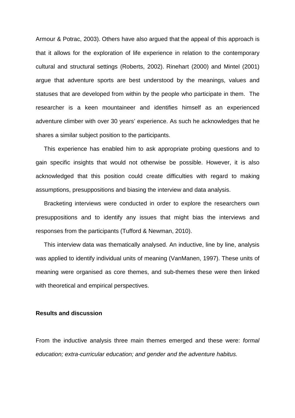Armour & Potrac, 2003). Others have also argued that the appeal of this approach is that it allows for the exploration of life experience in relation to the contemporary cultural and structural settings (Roberts, 2002). Rinehart (2000) and Mintel (2001) argue that adventure sports are best understood by the meanings, values and statuses that are developed from within by the people who participate in them. The researcher is a keen mountaineer and identifies himself as an experienced adventure climber with over 30 years' experience. As such he acknowledges that he shares a similar subject position to the participants.

 This experience has enabled him to ask appropriate probing questions and to gain specific insights that would not otherwise be possible. However, it is also acknowledged that this position could create difficulties with regard to making assumptions, presuppositions and biasing the interview and data analysis.

 Bracketing interviews were conducted in order to explore the researchers own presuppositions and to identify any issues that might bias the interviews and responses from the participants (Tufford & Newman, 2010).

 This interview data was thematically analysed. An inductive, line by line, analysis was applied to identify individual units of meaning (VanManen, 1997). These units of meaning were organised as core themes, and sub-themes these were then linked with theoretical and empirical perspectives.

# **Results and discussion**

From the inductive analysis three main themes emerged and these were: formal education; extra-curricular education; and gender and the adventure habitus.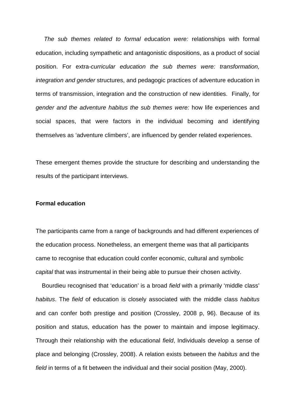The sub themes related to formal education were: relationships with formal education, including sympathetic and antagonistic dispositions, as a product of social position. For extra-curricular education the sub themes were: transformation, integration and gender structures, and pedagogic practices of adventure education in terms of transmission, integration and the construction of new identities. Finally, for gender and the adventure habitus the sub themes were: how life experiences and social spaces, that were factors in the individual becoming and identifying themselves as 'adventure climbers', are influenced by gender related experiences.

These emergent themes provide the structure for describing and understanding the results of the participant interviews.

# **Formal education**

The participants came from a range of backgrounds and had different experiences of the education process. Nonetheless, an emergent theme was that all participants came to recognise that education could confer economic, cultural and symbolic capital that was instrumental in their being able to pursue their chosen activity.

 Bourdieu recognised that 'education' is a broad field with a primarily 'middle class' habitus. The field of education is closely associated with the middle class habitus and can confer both prestige and position (Crossley, 2008 p, 96). Because of its position and status, education has the power to maintain and impose legitimacy. Through their relationship with the educational field, Individuals develop a sense of place and belonging (Crossley, 2008). A relation exists between the habitus and the field in terms of a fit between the individual and their social position (May, 2000).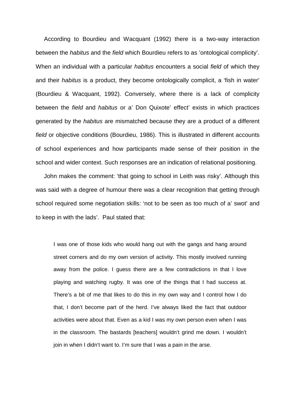According to Bourdieu and Wacquant (1992) there is a two-way interaction between the *habitus* and the *field* which Bourdieu refers to as 'ontological complicity'. When an individual with a particular *habitus* encounters a social *field* of which they and their habitus is a product, they become ontologically complicit, a 'fish in water' (Bourdieu & Wacquant, 1992). Conversely, where there is a lack of complicity between the field and habitus or a' Don Quixote' effect' exists in which practices generated by the habitus are mismatched because they are a product of a different field or objective conditions (Bourdieu, 1986). This is illustrated in different accounts of school experiences and how participants made sense of their position in the school and wider context. Such responses are an indication of relational positioning.

 John makes the comment: 'that going to school in Leith was risky'. Although this was said with a degree of humour there was a clear recognition that getting through school required some negotiation skills: 'not to be seen as too much of a' swot' and to keep in with the lads'. Paul stated that:

I was one of those kids who would hang out with the gangs and hang around street corners and do my own version of activity. This mostly involved running away from the police. I guess there are a few contradictions in that I love playing and watching rugby. It was one of the things that I had success at. There's a bit of me that likes to do this in my own way and I control how I do that, I don't become part of the herd. I've always liked the fact that outdoor activities were about that. Even as a kid I was my own person even when I was in the classroom. The bastards [teachers] wouldn't grind me down. I wouldn't join in when I didn't want to. I'm sure that I was a pain in the arse.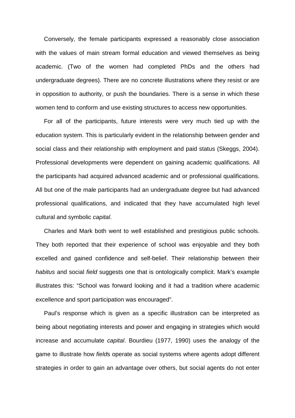Conversely, the female participants expressed a reasonably close association with the values of main stream formal education and viewed themselves as being academic. (Two of the women had completed PhDs and the others had undergraduate degrees). There are no concrete illustrations where they resist or are in opposition to authority, or push the boundaries. There is a sense in which these women tend to conform and use existing structures to access new opportunities.

 For all of the participants, future interests were very much tied up with the education system. This is particularly evident in the relationship between gender and social class and their relationship with employment and paid status (Skeggs, 2004). Professional developments were dependent on gaining academic qualifications. All the participants had acquired advanced academic and or professional qualifications. All but one of the male participants had an undergraduate degree but had advanced professional qualifications, and indicated that they have accumulated high level cultural and symbolic capital.

 Charles and Mark both went to well established and prestigious public schools. They both reported that their experience of school was enjoyable and they both excelled and gained confidence and self-belief. Their relationship between their habitus and social field suggests one that is ontologically complicit. Mark's example illustrates this: "School was forward looking and it had a tradition where academic excellence and sport participation was encouraged".

 Paul's response which is given as a specific illustration can be interpreted as being about negotiating interests and power and engaging in strategies which would increase and accumulate capital. Bourdieu (1977, 1990) uses the analogy of the game to illustrate how fields operate as social systems where agents adopt different strategies in order to gain an advantage over others, but social agents do not enter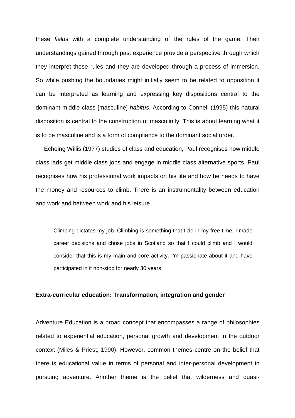these fields with a complete understanding of the rules of the game. Their understandings gained through past experience provide a perspective through which they interpret these rules and they are developed through a process of immersion. So while pushing the boundaries might initially seem to be related to opposition it can be interpreted as learning and expressing key dispositions central to the dominant middle class [masculine] habitus. According to Connell (1995) this natural disposition is central to the construction of masculinity. This is about learning what it is to be masculine and is a form of compliance to the dominant social order.

 Echoing Willis (1977) studies of class and education, Paul recognises how middle class lads get middle class jobs and engage in middle class alternative sports. Paul recognises how his professional work impacts on his life and how he needs to have the money and resources to climb. There is an instrumentality between education and work and between work and his leisure.

Climbing dictates my job. Climbing is something that I do in my free time. I made career decisions and chose jobs in Scotland so that I could climb and I would consider that this is my main and core activity. I'm passionate about it and have participated in it non-stop for nearly 30 years.

#### **Extra-curricular education: Transformation, integration and gender**

Adventure Education is a broad concept that encompasses a range of philosophies related to experiential education, personal growth and development in the outdoor context (Miles & Priest, 1990). However, common themes centre on the belief that there is educational value in terms of personal and inter-personal development in pursuing adventure. Another theme is the belief that wilderness and quasi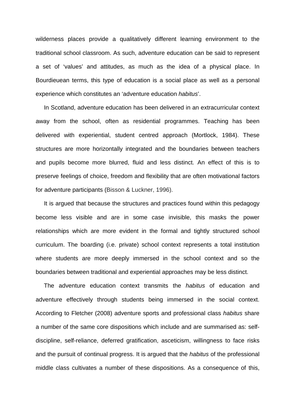wilderness places provide a qualitatively different learning environment to the traditional school classroom. As such, adventure education can be said to represent a set of 'values' and attitudes, as much as the idea of a physical place. In Bourdieuean terms, this type of education is a social place as well as a personal experience which constitutes an 'adventure education habitus'.

 In Scotland, adventure education has been delivered in an extracurricular context away from the school, often as residential programmes. Teaching has been delivered with experiential, student centred approach (Mortlock, 1984). These structures are more horizontally integrated and the boundaries between teachers and pupils become more blurred, fluid and less distinct. An effect of this is to preserve feelings of choice, freedom and flexibility that are often motivational factors for adventure participants (Bisson & Luckner, 1996).

 It is argued that because the structures and practices found within this pedagogy become less visible and are in some case invisible, this masks the power relationships which are more evident in the formal and tightly structured school curriculum. The boarding (i.e. private) school context represents a total institution where students are more deeply immersed in the school context and so the boundaries between traditional and experiential approaches may be less distinct.

The adventure education context transmits the *habitus* of education and adventure effectively through students being immersed in the social context. According to Fletcher (2008) adventure sports and professional class habitus share a number of the same core dispositions which include and are summarised as: selfdiscipline, self-reliance, deferred gratification, asceticism, willingness to face risks and the pursuit of continual progress. It is argued that the *habitus* of the professional middle class cultivates a number of these dispositions. As a consequence of this,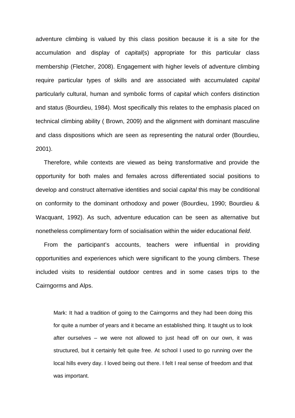adventure climbing is valued by this class position because it is a site for the accumulation and display of capital(s) appropriate for this particular class membership (Fletcher, 2008). Engagement with higher levels of adventure climbing require particular types of skills and are associated with accumulated capital particularly cultural, human and symbolic forms of capital which confers distinction and status (Bourdieu, 1984). Most specifically this relates to the emphasis placed on technical climbing ability ( Brown, 2009) and the alignment with dominant masculine and class dispositions which are seen as representing the natural order (Bourdieu, 2001).

 Therefore, while contexts are viewed as being transformative and provide the opportunity for both males and females across differentiated social positions to develop and construct alternative identities and social capital this may be conditional on conformity to the dominant orthodoxy and power (Bourdieu, 1990; Bourdieu & Wacquant, 1992). As such, adventure education can be seen as alternative but nonetheless complimentary form of socialisation within the wider educational field.

 From the participant's accounts, teachers were influential in providing opportunities and experiences which were significant to the young climbers. These included visits to residential outdoor centres and in some cases trips to the Cairngorms and Alps.

Mark: It had a tradition of going to the Cairngorms and they had been doing this for quite a number of years and it became an established thing. It taught us to look after ourselves – we were not allowed to just head off on our own, it was structured, but it certainly felt quite free. At school I used to go running over the local hills every day. I loved being out there. I felt I real sense of freedom and that was important.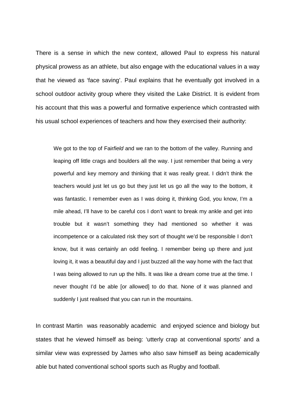There is a sense in which the new context, allowed Paul to express his natural physical prowess as an athlete, but also engage with the educational values in a way that he viewed as 'face saving'. Paul explains that he eventually got involved in a school outdoor activity group where they visited the Lake District. It is evident from his account that this was a powerful and formative experience which contrasted with his usual school experiences of teachers and how they exercised their authority:

We got to the top of Fairfield and we ran to the bottom of the valley. Running and leaping off little crags and boulders all the way. I just remember that being a very powerful and key memory and thinking that it was really great. I didn't think the teachers would just let us go but they just let us go all the way to the bottom, it was fantastic. I remember even as I was doing it, thinking God, you know, I'm a mile ahead, I'll have to be careful cos I don't want to break my ankle and get into trouble but it wasn't something they had mentioned so whether it was incompetence or a calculated risk they sort of thought we'd be responsible I don't know, but it was certainly an odd feeling. I remember being up there and just loving it, it was a beautiful day and I just buzzed all the way home with the fact that I was being allowed to run up the hills. It was like a dream come true at the time. I never thought I'd be able [or allowed] to do that. None of it was planned and suddenly I just realised that you can run in the mountains.

In contrast Martin was reasonably academic and enjoyed science and biology but states that he viewed himself as being: 'utterly crap at conventional sports' and a similar view was expressed by James who also saw himself as being academically able but hated conventional school sports such as Rugby and football.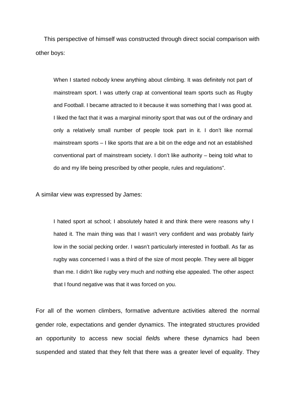This perspective of himself was constructed through direct social comparison with other boys:

When I started nobody knew anything about climbing. It was definitely not part of mainstream sport. I was utterly crap at conventional team sports such as Rugby and Football. I became attracted to it because it was something that I was good at. I liked the fact that it was a marginal minority sport that was out of the ordinary and only a relatively small number of people took part in it. I don't like normal mainstream sports – I like sports that are a bit on the edge and not an established conventional part of mainstream society. I don't like authority – being told what to do and my life being prescribed by other people, rules and regulations".

A similar view was expressed by James:

I hated sport at school; I absolutely hated it and think there were reasons why I hated it. The main thing was that I wasn't very confident and was probably fairly low in the social pecking order. I wasn't particularly interested in football. As far as rugby was concerned I was a third of the size of most people. They were all bigger than me. I didn't like rugby very much and nothing else appealed. The other aspect that I found negative was that it was forced on you.

For all of the women climbers, formative adventure activities altered the normal gender role, expectations and gender dynamics. The integrated structures provided an opportunity to access new social fields where these dynamics had been suspended and stated that they felt that there was a greater level of equality. They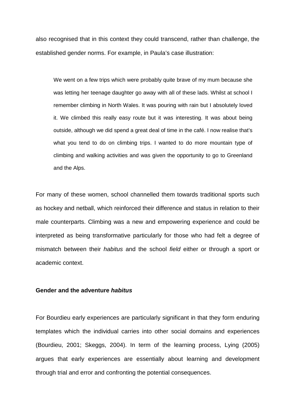also recognised that in this context they could transcend, rather than challenge, the established gender norms. For example, in Paula's case illustration:

We went on a few trips which were probably quite brave of my mum because she was letting her teenage daughter go away with all of these lads. Whilst at school I remember climbing in North Wales. It was pouring with rain but I absolutely loved it. We climbed this really easy route but it was interesting. It was about being outside, although we did spend a great deal of time in the café. I now realise that's what you tend to do on climbing trips. I wanted to do more mountain type of climbing and walking activities and was given the opportunity to go to Greenland and the Alps.

For many of these women, school channelled them towards traditional sports such as hockey and netball, which reinforced their difference and status in relation to their male counterparts. Climbing was a new and empowering experience and could be interpreted as being transformative particularly for those who had felt a degree of mismatch between their *habitus* and the school *field* either or through a sport or academic context.

## **Gender and the adventure habitus**

For Bourdieu early experiences are particularly significant in that they form enduring templates which the individual carries into other social domains and experiences (Bourdieu, 2001; Skeggs, 2004). In term of the learning process, Lying (2005) argues that early experiences are essentially about learning and development through trial and error and confronting the potential consequences.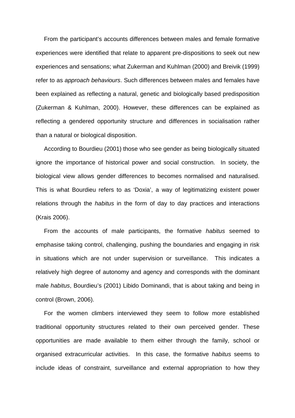From the participant's accounts differences between males and female formative experiences were identified that relate to apparent pre-dispositions to seek out new experiences and sensations; what Zukerman and Kuhlman (2000) and Breivik (1999) refer to as approach behaviours. Such differences between males and females have been explained as reflecting a natural, genetic and biologically based predisposition (Zukerman & Kuhlman, 2000). However, these differences can be explained as reflecting a gendered opportunity structure and differences in socialisation rather than a natural or biological disposition.

 According to Bourdieu (2001) those who see gender as being biologically situated ignore the importance of historical power and social construction. In society, the biological view allows gender differences to becomes normalised and naturalised. This is what Bourdieu refers to as 'Doxia', a way of legitimatizing existent power relations through the *habitus* in the form of day to day practices and interactions (Krais 2006).

 From the accounts of male participants, the formative habitus seemed to emphasise taking control, challenging, pushing the boundaries and engaging in risk in situations which are not under supervision or surveillance. This indicates a relatively high degree of autonomy and agency and corresponds with the dominant male habitus, Bourdieu's (2001) Libido Dominandi, that is about taking and being in control (Brown, 2006).

 For the women climbers interviewed they seem to follow more established traditional opportunity structures related to their own perceived gender. These opportunities are made available to them either through the family, school or organised extracurricular activities. In this case, the formative habitus seems to include ideas of constraint, surveillance and external appropriation to how they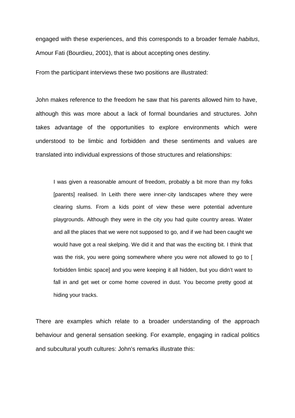engaged with these experiences, and this corresponds to a broader female habitus, Amour Fati (Bourdieu, 2001), that is about accepting ones destiny.

From the participant interviews these two positions are illustrated:

John makes reference to the freedom he saw that his parents allowed him to have, although this was more about a lack of formal boundaries and structures. John takes advantage of the opportunities to explore environments which were understood to be limbic and forbidden and these sentiments and values are translated into individual expressions of those structures and relationships:

I was given a reasonable amount of freedom, probably a bit more than my folks [parents] realised. In Leith there were inner-city landscapes where they were clearing slums. From a kids point of view these were potential adventure playgrounds. Although they were in the city you had quite country areas. Water and all the places that we were not supposed to go, and if we had been caught we would have got a real skelping. We did it and that was the exciting bit. I think that was the risk, you were going somewhere where you were not allowed to go to [ forbidden limbic space] and you were keeping it all hidden, but you didn't want to fall in and get wet or come home covered in dust. You become pretty good at hiding your tracks.

There are examples which relate to a broader understanding of the approach behaviour and general sensation seeking. For example, engaging in radical politics and subcultural youth cultures: John's remarks illustrate this: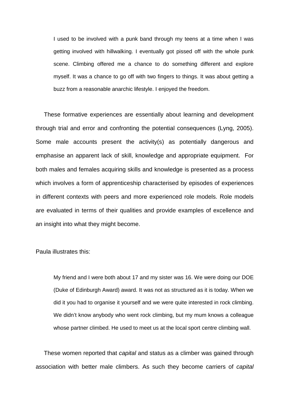I used to be involved with a punk band through my teens at a time when I was getting involved with hillwalking. I eventually got pissed off with the whole punk scene. Climbing offered me a chance to do something different and explore myself. It was a chance to go off with two fingers to things. It was about getting a buzz from a reasonable anarchic lifestyle. I enjoyed the freedom.

 These formative experiences are essentially about learning and development through trial and error and confronting the potential consequences (Lyng, 2005). Some male accounts present the activity(s) as potentially dangerous and emphasise an apparent lack of skill, knowledge and appropriate equipment. For both males and females acquiring skills and knowledge is presented as a process which involves a form of apprenticeship characterised by episodes of experiences in different contexts with peers and more experienced role models. Role models are evaluated in terms of their qualities and provide examples of excellence and an insight into what they might become.

Paula illustrates this:

My friend and I were both about 17 and my sister was 16. We were doing our DOE (Duke of Edinburgh Award) award. It was not as structured as it is today. When we did it you had to organise it yourself and we were quite interested in rock climbing. We didn't know anybody who went rock climbing, but my mum knows a colleague whose partner climbed. He used to meet us at the local sport centre climbing wall.

These women reported that *capital* and status as a climber was gained through association with better male climbers. As such they become carriers of capital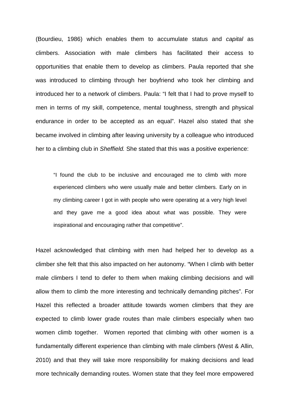(Bourdieu, 1986) which enables them to accumulate status and capital as climbers. Association with male climbers has facilitated their access to opportunities that enable them to develop as climbers. Paula reported that she was introduced to climbing through her boyfriend who took her climbing and introduced her to a network of climbers. Paula: "I felt that I had to prove myself to men in terms of my skill, competence, mental toughness, strength and physical endurance in order to be accepted as an equal". Hazel also stated that she became involved in climbing after leaving university by a colleague who introduced her to a climbing club in Sheffield. She stated that this was a positive experience:

"I found the club to be inclusive and encouraged me to climb with more experienced climbers who were usually male and better climbers. Early on in my climbing career I got in with people who were operating at a very high level and they gave me a good idea about what was possible. They were inspirational and encouraging rather that competitive".

Hazel acknowledged that climbing with men had helped her to develop as a climber she felt that this also impacted on her autonomy. "When I climb with better male climbers I tend to defer to them when making climbing decisions and will allow them to climb the more interesting and technically demanding pitches". For Hazel this reflected a broader attitude towards women climbers that they are expected to climb lower grade routes than male climbers especially when two women climb together. Women reported that climbing with other women is a fundamentally different experience than climbing with male climbers (West & Allin, 2010) and that they will take more responsibility for making decisions and lead more technically demanding routes. Women state that they feel more empowered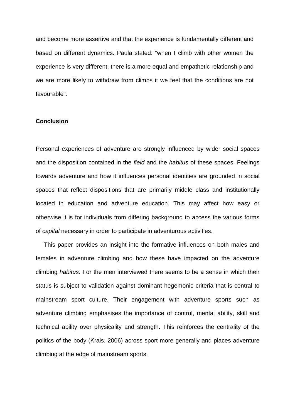and become more assertive and that the experience is fundamentally different and based on different dynamics. Paula stated: "when I climb with other women the experience is very different, there is a more equal and empathetic relationship and we are more likely to withdraw from climbs it we feel that the conditions are not favourable".

### **Conclusion**

Personal experiences of adventure are strongly influenced by wider social spaces and the disposition contained in the field and the habitus of these spaces. Feelings towards adventure and how it influences personal identities are grounded in social spaces that reflect dispositions that are primarily middle class and institutionally located in education and adventure education. This may affect how easy or otherwise it is for individuals from differing background to access the various forms of capital necessary in order to participate in adventurous activities.

 This paper provides an insight into the formative influences on both males and females in adventure climbing and how these have impacted on the adventure climbing habitus. For the men interviewed there seems to be a sense in which their status is subject to validation against dominant hegemonic criteria that is central to mainstream sport culture. Their engagement with adventure sports such as adventure climbing emphasises the importance of control, mental ability, skill and technical ability over physicality and strength. This reinforces the centrality of the politics of the body (Krais, 2006) across sport more generally and places adventure climbing at the edge of mainstream sports.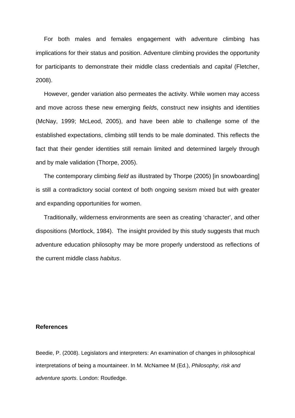For both males and females engagement with adventure climbing has implications for their status and position. Adventure climbing provides the opportunity for participants to demonstrate their middle class credentials and capital (Fletcher, 2008).

 However, gender variation also permeates the activity. While women may access and move across these new emerging fields, construct new insights and identities (McNay, 1999; McLeod, 2005), and have been able to challenge some of the established expectations, climbing still tends to be male dominated. This reflects the fact that their gender identities still remain limited and determined largely through and by male validation (Thorpe, 2005).

The contemporary climbing *field* as illustrated by Thorpe (2005) [in snowboarding] is still a contradictory social context of both ongoing sexism mixed but with greater and expanding opportunities for women.

 Traditionally, wilderness environments are seen as creating 'character', and other dispositions (Mortlock, 1984). The insight provided by this study suggests that much adventure education philosophy may be more properly understood as reflections of the current middle class habitus.

# **References**

Beedie, P. (2008). Legislators and interpreters: An examination of changes in philosophical interpretations of being a mountaineer. In M. McNamee M (Ed.), Philosophy, risk and adventure sports. London: Routledge.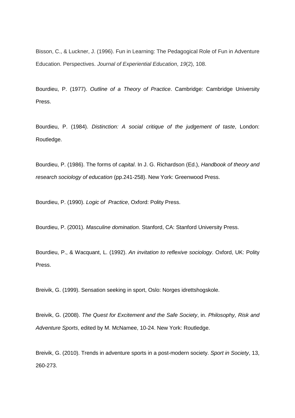Bisson, C., & Luckner, J. (1996). Fun in Learning: The Pedagogical Role of Fun in Adventure Education. Perspectives. Journal of Experiential Education, 19(2), 108.

Bourdieu, P. (1977). Outline of a Theory of Practice. Cambridge: Cambridge University Press.

Bourdieu, P. (1984). Distinction: A social critique of the judgement of taste, London: Routledge.

Bourdieu, P. (1986). The forms of capital. In J. G. Richardson (Ed.), Handbook of theory and research sociology of education (pp.241-258). New York: Greenwood Press.

Bourdieu, P. (1990). Logic of Practice, Oxford: Polity Press.

Bourdieu, P. (2001). Masculine domination. Stanford, CA: Stanford University Press.

Bourdieu, P., & Wacquant, L. (1992). An invitation to reflexive sociology. Oxford, UK: Polity Press.

Breivik, G. (1999). Sensation seeking in sport, Oslo: Norges idrettshogskole.

Breivik, G. (2008). The Quest for Excitement and the Safe Society, in. Philosophy, Risk and Adventure Sports, edited by M. McNamee, 10-24. New York: Routledge.

Breivik, G. (2010). Trends in adventure sports in a post-modern society. Sport in Society, 13, 260-273.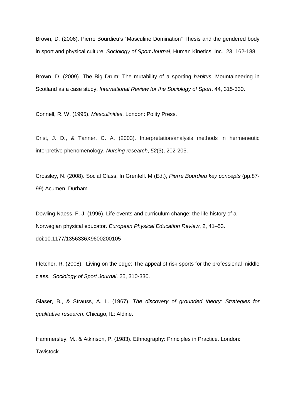Brown, D. (2006). Pierre Bourdieu's "Masculine Domination" Thesis and the gendered body in sport and physical culture. Sociology of Sport Journal, Human Kinetics, Inc. 23, 162-188.

Brown, D. (2009). The Big Drum: The mutability of a sporting habitus: Mountaineering in Scotland as a case study. International Review for the Sociology of Sport. 44, 315-330.

Connell, R. W. (1995). Masculinities. London: Polity Press.

Crist, J. D., & Tanner, C. A. (2003). Interpretation/analysis methods in hermeneutic interpretive phenomenology. Nursing research, 52(3), 202-205.

Crossley, N. (2008). Social Class, In Grenfell. M (Ed.), Pierre Bourdieu key concepts (pp.87- 99) Acumen, Durham.

Dowling Naess, F. J. (1996). Life events and curriculum change: the life history of a Norwegian physical educator. European Physical Education Review, 2, 41–53. doi:10.1177/1356336X9600200105

Fletcher, R. (2008). Living on the edge: The appeal of risk sports for the professional middle class. Sociology of Sport Journal. 25, 310-330.

Glaser, B., & Strauss, A. L. (1967). The discovery of grounded theory: Strategies for qualitative research. Chicago, IL: Aldine.

Hammersley, M., & Atkinson, P. (1983). Ethnography: Principles in Practice. London: Tavistock.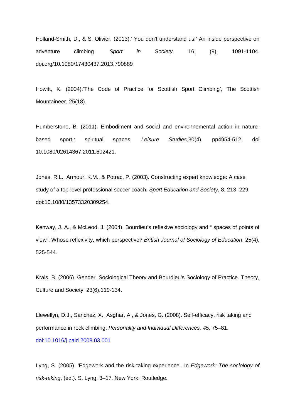Holland-Smith, D., & S, Olivier. (2013).' You don't understand us!' An inside perspective on adventure climbing. Sport in Society. 16, (9), 1091-1104. doi.org/10.1080/17430437.2013.790889

Howitt, K. (2004).'The Code of Practice for Scottish Sport Climbing', The Scottish Mountaineer, 25(18).

Humberstone, B. (2011). Embodiment and social and environnemental action in naturebased sport : spiritual spaces, Leisure Studies, 30(4), pp4954-512. doi 10.1080/02614367.2011.602421.

Jones, R.L., Armour, K.M., & Potrac, P. (2003). Constructing expert knowledge: A case study of a top-level professional soccer coach. Sport Education and Society, 8, 213–229. doi:10.1080/13573320309254.

Kenway, J. A., & McLeod, J. (2004). Bourdieu's reflexive sociology and " spaces of points of view": Whose reflexivity, which perspective? British Journal of Sociology of Education, 25(4), 525-544.

Krais, B. (2006). Gender, Sociological Theory and Bourdieu's Sociology of Practice. Theory, Culture and Society. 23(6),119-134.

Llewellyn, D.J., Sanchez, X., Asghar, A., & Jones, G. (2008). Self-efficacy, risk taking and performance in rock climbing. Personality and Individual Differences, 45, 75–81. doi:10.1016/j.paid.2008.03.001

Lyng, S. (2005). 'Edgework and the risk-taking experience'. In Edgework: The sociology of risk-taking, (ed.). S. Lyng, 3–17. New York: Routledge.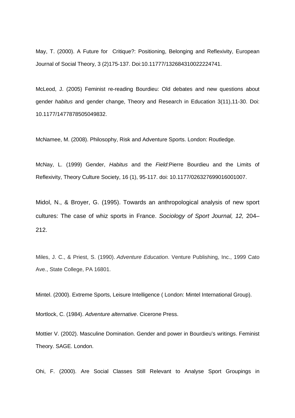May, T. (2000). A Future for Critique?: Positioning, Belonging and Reflexivity, European Journal of Social Theory, 3 (2)175-137. Doi:10.11777/132684310022224741.

McLeod, J. (2005) Feminist re-reading Bourdieu: Old debates and new questions about gender habitus and gender change, Theory and Research in Education 3(11),11-30. Doi: 10.1177/1477878505049832.

McNamee, M. (2008). Philosophy, Risk and Adventure Sports. London: Routledge.

McNay, L. (1999) Gender, Habitus and the Field: Pierre Bourdieu and the Limits of Reflexivity, Theory Culture Society, 16 (1), 95-117. doi: 10.1177/026327699016001007.

Midol, N., & Broyer, G. (1995). Towards an anthropological analysis of new sport cultures: The case of whiz sports in France. Sociology of Sport Journal, 12, 204– 212.

Miles, J. C., & Priest, S. (1990). Adventure Education. Venture Publishing, Inc., 1999 Cato Ave., State College, PA 16801.

Mintel. (2000). Extreme Sports, Leisure Intelligence ( London: Mintel International Group).

Mortlock, C. (1984). Adventure alternative. Cicerone Press.

Mottier V. (2002). Masculine Domination. Gender and power in Bourdieu's writings. Feminist Theory. SAGE. London.

Ohi, F. (2000). Are Social Classes Still Relevant to Analyse Sport Groupings in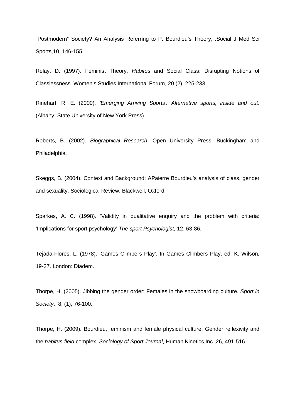"Postmodern" Society? An Analysis Referring to P. Bourdieu's Theory, .Social J Med Sci Sports,10, 146-155.

Relay, D. (1997). Feminist Theory, Habitus and Social Class: Disrupting Notions of Classlessness. Women's Studies International Forum, 20 (2), 225-233.

Rinehart, R. E. (2000). 'Emerging Arriving Sports': Alternative sports, inside and out. (Albany: State University of New York Press).

Roberts, B. (2002). Biographical Research. Open University Press. Buckingham and Philadelphia.

Skeggs, B. (2004). Context and Background: APaierre Bourdieu's analysis of class, gender and sexuality, Sociological Review. Blackwell, Oxford.

Sparkes, A. C. (1998). 'Validity in qualitative enquiry and the problem with criteria: 'Implications for sport psychology' The sport Psychologist, 12, 63-86.

Tejada-Flores, L. (1978).' Games Climbers Play'. In Games Climbers Play, ed. K. Wilson, 19-27. London: Diadem.

Thorpe, H. (2005). Jibbing the gender order: Females in the snowboarding culture. Sport in Society. 8, (1), 76-100.

Thorpe, H. (2009). Bourdieu, feminism and female physical culture: Gender reflexivity and the habitus-field complex. Sociology of Sport Journal, Human Kinetics,Inc ,26, 491-516.